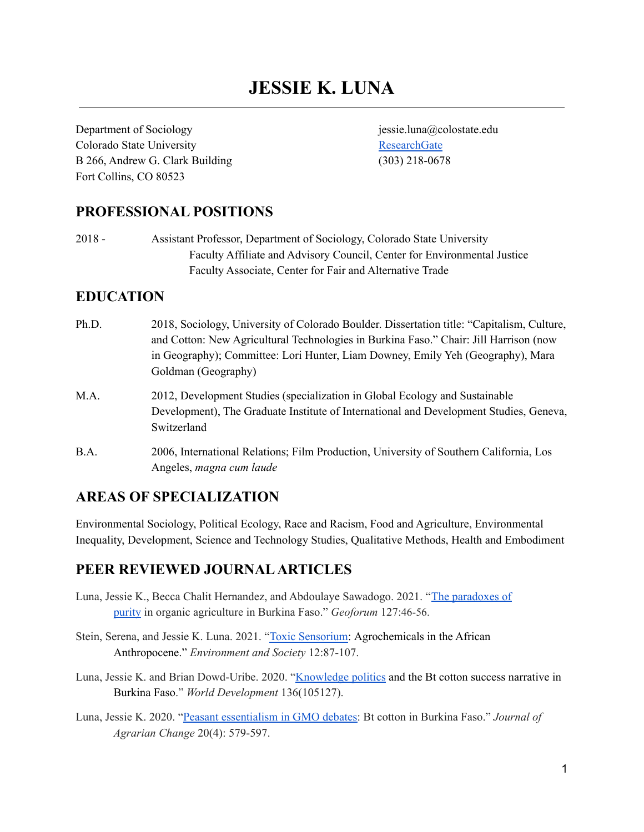# **JESSIE K. LUNA**

Department of Sociology iessie.luna@colostate.edu Colorado State University [ResearchGate](https://www.researchgate.net/profile/Jessie_Luna) B 266, Andrew G. Clark Building (303) 218-0678 Fort Collins, CO 80523

### **PROFESSIONAL POSITIONS**

2018 - Assistant Professor, Department of Sociology, Colorado State University Faculty Affiliate and Advisory Council, Center for Environmental Justice Faculty Associate, Center for Fair and Alternative Trade

#### **EDUCATION**

- Ph.D. 2018, Sociology, University of Colorado Boulder. Dissertation title: "Capitalism, Culture, and Cotton: New Agricultural Technologies in Burkina Faso." Chair: Jill Harrison (now in Geography); Committee: Lori Hunter, Liam Downey, Emily Yeh (Geography), Mara Goldman (Geography) M.A. 2012, Development Studies (specialization in Global Ecology and Sustainable
- Development), The Graduate Institute of International and Development Studies, Geneva, Switzerland
- B.A. 2006, International Relations; Film Production, University of Southern California, Los Angeles, *magna cum laude*

### **AREAS OF SPECIALIZATION**

Environmental Sociology, Political Ecology, Race and Racism, Food and Agriculture, Environmental Inequality, Development, Science and Technology Studies, Qualitative Methods, Health and Embodiment

### **PEER REVIEWED JOURNALARTICLES**

- Luna, Jessie K., Becca Chalit Hernandez, and Abdoulaye Sawadogo. 2021. "The [paradoxes](https://doi.org/10.1016/j.geoforum.2021.09.014) of [purity](https://doi.org/10.1016/j.geoforum.2021.09.014) in organic agriculture in Burkina Faso." *Geoforum* 127:46-56.
- Stein, Serena, and Jessie K. Luna. 2021. "Toxic [Sensorium](https://www.berghahnjournals.com/view/journals/environment-and-society/12/1/ares120106.xml): Agrochemicals in the African Anthropocene." *Environment and Society* 12:87-107.
- Luna, Jessie K. and Brian Dowd-Uribe. 2020. ["Knowledge](https://doi.org/10.1016/j.worlddev.2020.105127) politics and the Bt cotton success narrative in Burkina Faso." *World Development* 136(105127).
- Luna, Jessie K. 2020. "Peasant [essentialism](https://onlinelibrary.wiley.com/doi/abs/10.1111/joac.12381) in GMO debates: Bt cotton in Burkina Faso." *Journal of Agrarian Change* 20(4): 579-597.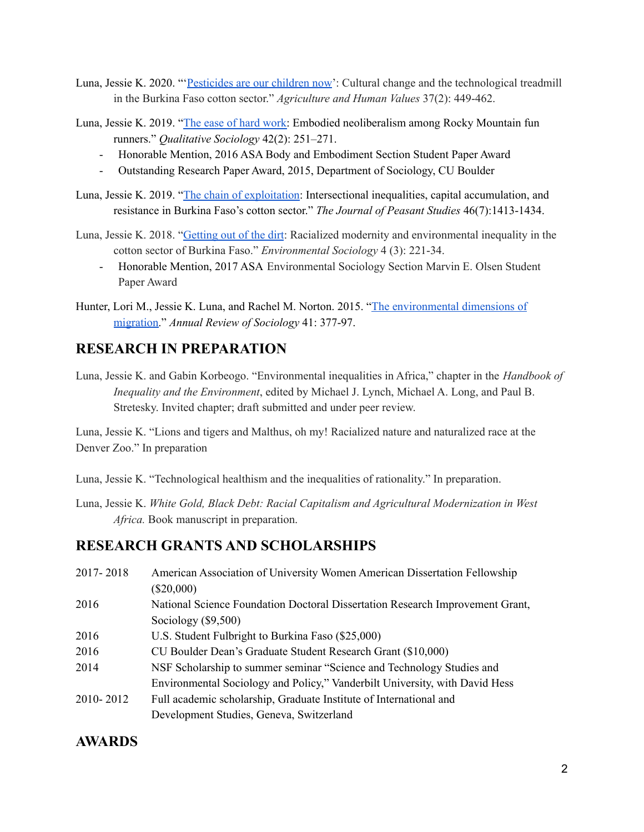- Luna, Jessie K. 2020. "'[Pesticides](https://link-springer-com.ezproxy2.library.colostate.edu/article/10.1007/s10460-019-09999-y?wt_mc=Internal.Event.1.SEM.ArticleAuthorOnlineFirst&utm_source=ArticleAuthorOnlineFirst&utm_medium=email&utm_content=AA_en_06082018&ArticleAuthorOnlineFirst_20191120) are our children now': Cultural change and the technological treadmill in the Burkina Faso cotton sector." *Agriculture and Human Values* 37(2): 449-462.
- Luna, Jessie K. 2019. "The ease of hard [work:](https://link.springer.com/article/10.1007/s11133-019-9412-8) Embodied neoliberalism among Rocky Mountain fun runners." *Qualitative Sociology* 42(2): 251–271.
	- Honorable Mention, 2016 ASA Body and Embodiment Section Student Paper Award
	- Outstanding Research Paper Award, 2015, Department of Sociology, CU Boulder
- Luna, Jessie K. 2019. "The chain of [exploitation](https://www.tandfonline.com/doi/figure/10.1080/03066150.2018.1499623?scroll=top&needAccess=true): Intersectional inequalities, capital accumulation, and resistance in Burkina Faso's cotton sector." *The Journal of Peasant Studies* 46(7):1413-1434.
- Luna, Jessie K. 2018. ["Getting](https://www.tandfonline.com/doi/abs/10.1080/23251042.2017.1396657) out of the dirt: Racialized modernity and environmental inequality in the cotton sector of Burkina Faso." *Environmental Sociology* 4 (3): 221-34.
	- Honorable Mention, 2017 ASA Environmental Sociology Section Marvin E. Olsen Student Paper Award
- Hunter, Lori M., Jessie K. Luna, and Rachel M. Norton. 2015. "The [environmental](https://www.annualreviews.org/doi/10.1146/annurev-soc-073014-112223) dimensions of [migration.](https://www.annualreviews.org/doi/10.1146/annurev-soc-073014-112223)" *Annual Review of Sociology* 41: 377-97.

### **RESEARCH IN PREPARATION**

Luna, Jessie K. and Gabin Korbeogo. "Environmental inequalities in Africa," chapter in the *Handbook of Inequality and the Environment*, edited by Michael J. Lynch, Michael A. Long, and Paul B. Stretesky. Invited chapter; draft submitted and under peer review.

Luna, Jessie K. "Lions and tigers and Malthus, oh my! Racialized nature and naturalized race at the Denver Zoo." In preparation

Luna, Jessie K. "Technological healthism and the inequalities of rationality." In preparation.

Luna, Jessie K. *White Gold, Black Debt: Racial Capitalism and Agricultural Modernization in West Africa.* Book manuscript in preparation.

#### **RESEARCH GRANTS AND SCHOLARSHIPS**

2017- 2018 American Association of University Women American Dissertation Fellowship (\$20,000) 2016 National Science Foundation Doctoral Dissertation Research Improvement Grant, Sociology (\$9,500) 2016 U.S. Student Fulbright to Burkina Faso (\$25,000) 2016 CU Boulder Dean's Graduate Student Research Grant (\$10,000) 2014 NSF Scholarship to summer seminar "Science and Technology Studies and Environmental Sociology and Policy," Vanderbilt University, with David Hess 2010- 2012 Full academic scholarship, Graduate Institute of International and Development Studies, Geneva, Switzerland

### **AWARDS**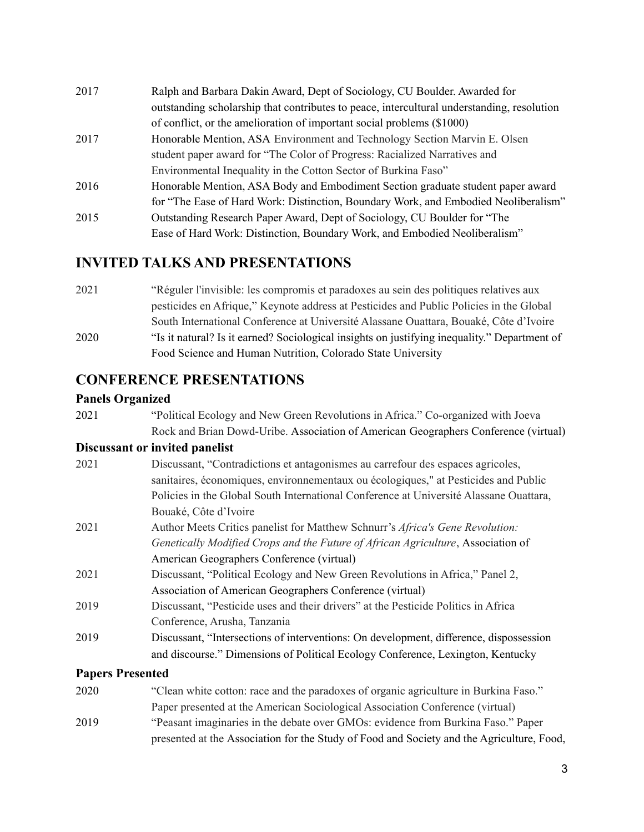| 2017 | Ralph and Barbara Dakin Award, Dept of Sociology, CU Boulder. Awarded for                  |
|------|--------------------------------------------------------------------------------------------|
|      | outstanding scholarship that contributes to peace, intercultural understanding, resolution |
|      | of conflict, or the amelioration of important social problems (\$1000)                     |
| 2017 | Honorable Mention, ASA Environment and Technology Section Marvin E. Olsen                  |
|      | student paper award for "The Color of Progress: Racialized Narratives and                  |
|      | Environmental Inequality in the Cotton Sector of Burkina Faso"                             |
| 2016 | Honorable Mention, ASA Body and Embodiment Section graduate student paper award            |
|      | for "The Ease of Hard Work: Distinction, Boundary Work, and Embodied Neoliberalism"        |
| 2015 | Outstanding Research Paper Award, Dept of Sociology, CU Boulder for "The                   |
|      | Ease of Hard Work: Distinction, Boundary Work, and Embodied Neoliberalism"                 |

### **INVITED TALKS AND PRESENTATIONS**

2021 "Réguler l'invisible: les compromis et paradoxes au sein des politiques relatives aux pesticides en Afrique," Keynote address at Pesticides and Public Policies in the Global South International Conference at Université Alassane Ouattara, Bouaké, Côte d'Ivoire 2020 "Is it natural? Is it earned? Sociological insights on justifying inequality." Department of Food Science and Human Nutrition, Colorado State University

### **CONFERENCE PRESENTATIONS**

#### **Panels Organized**

| 2021                    | "Political Ecology and New Green Revolutions in Africa." Co-organized with Joeva       |
|-------------------------|----------------------------------------------------------------------------------------|
|                         | Rock and Brian Dowd-Uribe. Association of American Geographers Conference (virtual)    |
|                         | Discussant or invited panelist                                                         |
| 2021                    | Discussant, "Contradictions et antagonismes au carrefour des espaces agricoles,        |
|                         | sanitaires, économiques, environnementaux ou écologiques," at Pesticides and Public    |
|                         | Policies in the Global South International Conference at Université Alassane Ouattara, |
|                         | Bouaké, Côte d'Ivoire                                                                  |
| 2021                    | Author Meets Critics panelist for Matthew Schnurr's Africa's Gene Revolution:          |
|                         | Genetically Modified Crops and the Future of African Agriculture, Association of       |
|                         | American Geographers Conference (virtual)                                              |
| 2021                    | Discussant, "Political Ecology and New Green Revolutions in Africa," Panel 2,          |
|                         | Association of American Geographers Conference (virtual)                               |
| 2019                    | Discussant, "Pesticide uses and their drivers" at the Pesticide Politics in Africa     |
|                         | Conference, Arusha, Tanzania                                                           |
| 2019                    | Discussant, "Intersections of interventions: On development, difference, dispossession |
|                         | and discourse." Dimensions of Political Ecology Conference, Lexington, Kentucky        |
| <b>Papers Presented</b> |                                                                                        |
| 2020                    | "Clean white cotton: race and the paradoxes of organic agriculture in Burkina Faso."   |

Paper presented at the American Sociological Association Conference (virtual) 2019 "Peasant imaginaries in the debate over GMOs: evidence from Burkina Faso." Paper presented at the Association for the Study of Food and Society and the Agriculture, Food,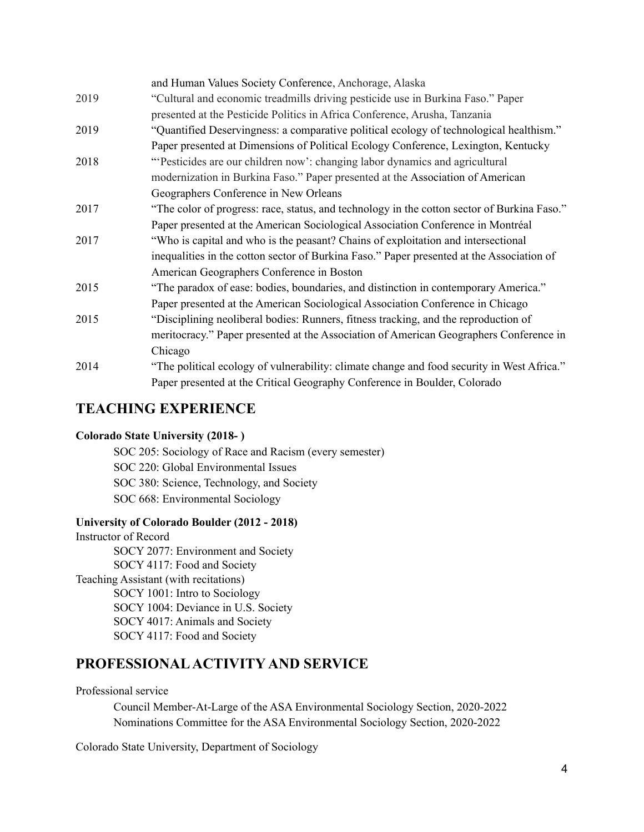|      | and Human Values Society Conference, Anchorage, Alaska                                      |
|------|---------------------------------------------------------------------------------------------|
| 2019 | "Cultural and economic treadmills driving pesticide use in Burkina Faso." Paper             |
|      | presented at the Pesticide Politics in Africa Conference, Arusha, Tanzania                  |
| 2019 | "Quantified Deservingness: a comparative political ecology of technological healthism."     |
|      | Paper presented at Dimensions of Political Ecology Conference, Lexington, Kentucky          |
| 2018 | "Pesticides are our children now': changing labor dynamics and agricultural                 |
|      | modernization in Burkina Faso." Paper presented at the Association of American              |
|      | Geographers Conference in New Orleans                                                       |
| 2017 | "The color of progress: race, status, and technology in the cotton sector of Burkina Faso." |
|      | Paper presented at the American Sociological Association Conference in Montréal             |
| 2017 | "Who is capital and who is the peasant? Chains of exploitation and intersectional           |
|      | inequalities in the cotton sector of Burkina Faso." Paper presented at the Association of   |
|      | American Geographers Conference in Boston                                                   |
| 2015 | "The paradox of ease: bodies, boundaries, and distinction in contemporary America."         |
|      | Paper presented at the American Sociological Association Conference in Chicago              |
| 2015 | "Disciplining neoliberal bodies: Runners, fitness tracking, and the reproduction of         |
|      | meritocracy." Paper presented at the Association of American Geographers Conference in      |
|      | Chicago                                                                                     |
| 2014 | "The political ecology of vulnerability: climate change and food security in West Africa."  |
|      | Paper presented at the Critical Geography Conference in Boulder, Colorado                   |

### **TEACHING EXPERIENCE**

#### **Colorado State University (2018- )**

SOC 205: Sociology of Race and Racism (every semester) SOC 220: Global Environmental Issues SOC 380: Science, Technology, and Society SOC 668: Environmental Sociology

#### **University of Colorado Boulder (2012 - 2018)**

Instructor of Record SOCY 2077: Environment and Society SOCY 4117: Food and Society Teaching Assistant (with recitations) SOCY 1001: Intro to Sociology SOCY 1004: Deviance in U.S. Society SOCY 4017: Animals and Society SOCY 4117: Food and Society

### **PROFESSIONALACTIVITY AND SERVICE**

#### Professional service

Council Member-At-Large of the ASA Environmental Sociology Section, 2020-2022 Nominations Committee for the ASA Environmental Sociology Section, 2020-2022

Colorado State University, Department of Sociology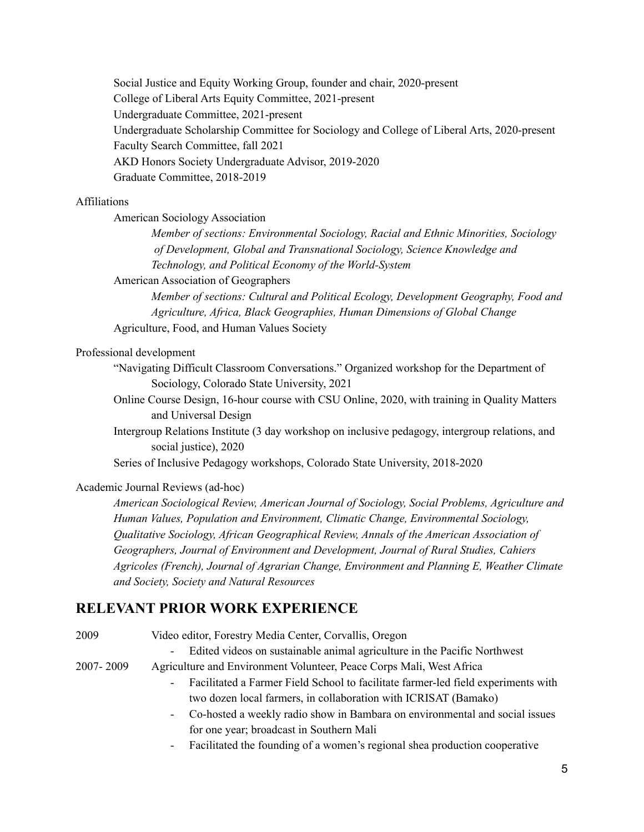Social Justice and Equity Working Group, founder and chair, 2020-present College of Liberal Arts Equity Committee, 2021-present Undergraduate Committee, 2021-present Undergraduate Scholarship Committee for Sociology and College of Liberal Arts, 2020-present Faculty Search Committee, fall 2021 AKD Honors Society Undergraduate Advisor, 2019-2020 Graduate Committee, 2018-2019

#### Affiliations

American Sociology Association

*Member of sections: Environmental Sociology, Racial and Ethnic Minorities, Sociology of Development, Global and Transnational Sociology, Science Knowledge and Technology, and Political Economy of the World-System*

American Association of Geographers

*Member of sections: Cultural and Political Ecology, Development Geography, Food and Agriculture, Africa, Black Geographies, Human Dimensions of Global Change* Agriculture, Food, and Human Values Society

#### Professional development

"Navigating Difficult Classroom Conversations." Organized workshop for the Department of Sociology, Colorado State University, 2021

Online Course Design, 16-hour course with CSU Online, 2020, with training in Quality Matters and Universal Design

Intergroup Relations Institute (3 day workshop on inclusive pedagogy, intergroup relations, and social justice), 2020

Series of Inclusive Pedagogy workshops, Colorado State University, 2018-2020

#### Academic Journal Reviews (ad-hoc)

*American Sociological Review, American Journal of Sociology, Social Problems, Agriculture and Human Values, Population and Environment, Climatic Change, Environmental Sociology, Qualitative Sociology, African Geographical Review, Annals of the American Association of Geographers, Journal of Environment and Development, Journal of Rural Studies, Cahiers Agricoles (French), Journal of Agrarian Change, Environment and Planning E, Weather Climate and Society, Society and Natural Resources*

#### **RELEVANT PRIOR WORK EXPERIENCE**

2009 Video editor, Forestry Media Center, Corvallis, Oregon

- Edited videos on sustainable animal agriculture in the Pacific Northwest

2007- 2009 Agriculture and Environment Volunteer, Peace Corps Mali, West Africa

- Facilitated a Farmer Field School to facilitate farmer-led field experiments with two dozen local farmers, in collaboration with ICRISAT (Bamako)
- Co-hosted a weekly radio show in Bambara on environmental and social issues for one year; broadcast in Southern Mali
- Facilitated the founding of a women's regional shea production cooperative